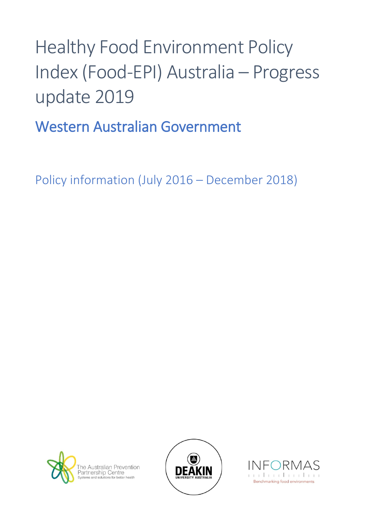## Healthy Food Environment Policy Index (Food-EPI) Australia – Progress update 2019

Western Australian Government

Policy information (July 2016 – December 2018)





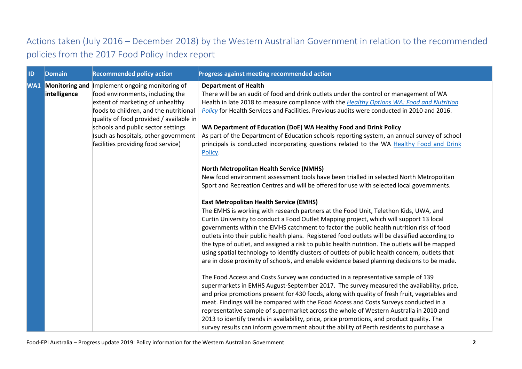## Actions taken (July 2016 – December 2018) by the Western Australian Government in relation to the recommended policies from the 2017 Food Policy Index report

| ID | <b>Domain</b> | <b>Recommended policy action</b>                                                                                                                                                                                                                                                                                                    | Progress against meeting recommended action                                                                                                                                                                                                                                                                                                                                                                                                                                                                                                                                                                                                                                                                                                                                                                                                                                                                                                                                                                                                                                                                                                                                                                                                                                                                                                                                                                                                                                                                                                                                                                                                                                                                                                                                                                                                                                                                                                                                                                                                                                                                                                                                                                                                  |
|----|---------------|-------------------------------------------------------------------------------------------------------------------------------------------------------------------------------------------------------------------------------------------------------------------------------------------------------------------------------------|----------------------------------------------------------------------------------------------------------------------------------------------------------------------------------------------------------------------------------------------------------------------------------------------------------------------------------------------------------------------------------------------------------------------------------------------------------------------------------------------------------------------------------------------------------------------------------------------------------------------------------------------------------------------------------------------------------------------------------------------------------------------------------------------------------------------------------------------------------------------------------------------------------------------------------------------------------------------------------------------------------------------------------------------------------------------------------------------------------------------------------------------------------------------------------------------------------------------------------------------------------------------------------------------------------------------------------------------------------------------------------------------------------------------------------------------------------------------------------------------------------------------------------------------------------------------------------------------------------------------------------------------------------------------------------------------------------------------------------------------------------------------------------------------------------------------------------------------------------------------------------------------------------------------------------------------------------------------------------------------------------------------------------------------------------------------------------------------------------------------------------------------------------------------------------------------------------------------------------------------|
|    | intelligence  | WA1 Monitoring and Implement ongoing monitoring of<br>food environments, including the<br>extent of marketing of unhealthy<br>foods to children, and the nutritional<br>quality of food provided / available in<br>schools and public sector settings<br>(such as hospitals, other government<br>facilities providing food service) | <b>Department of Health</b><br>There will be an audit of food and drink outlets under the control or management of WA<br>Health in late 2018 to measure compliance with the Healthy Options WA: Food and Nutrition<br>Policy for Health Services and Facilities. Previous audits were conducted in 2010 and 2016.<br>WA Department of Education (DoE) WA Healthy Food and Drink Policy<br>As part of the Department of Education schools reporting system, an annual survey of school<br>principals is conducted incorporating questions related to the WA Healthy Food and Drink<br>Policy.<br><b>North Metropolitan Health Service (NMHS)</b><br>New food environment assessment tools have been trialled in selected North Metropolitan<br>Sport and Recreation Centres and will be offered for use with selected local governments.<br><b>East Metropolitan Health Service (EMHS)</b><br>The EMHS is working with research partners at the Food Unit, Telethon Kids, UWA, and<br>Curtin University to conduct a Food Outlet Mapping project, which will support 13 local<br>governments within the EMHS catchment to factor the public health nutrition risk of food<br>outlets into their public health plans. Registered food outlets will be classified according to<br>the type of outlet, and assigned a risk to public health nutrition. The outlets will be mapped<br>using spatial technology to identify clusters of outlets of public health concern, outlets that<br>are in close proximity of schools, and enable evidence based planning decisions to be made.<br>The Food Access and Costs Survey was conducted in a representative sample of 139<br>supermarkets in EMHS August-September 2017. The survey measured the availability, price,<br>and price promotions present for 430 foods, along with quality of fresh fruit, vegetables and<br>meat. Findings will be compared with the Food Access and Costs Surveys conducted in a<br>representative sample of supermarket across the whole of Western Australia in 2010 and<br>2013 to identify trends in availability, price, price promotions, and product quality. The<br>survey results can inform government about the ability of Perth residents to purchase a |
|    |               |                                                                                                                                                                                                                                                                                                                                     |                                                                                                                                                                                                                                                                                                                                                                                                                                                                                                                                                                                                                                                                                                                                                                                                                                                                                                                                                                                                                                                                                                                                                                                                                                                                                                                                                                                                                                                                                                                                                                                                                                                                                                                                                                                                                                                                                                                                                                                                                                                                                                                                                                                                                                              |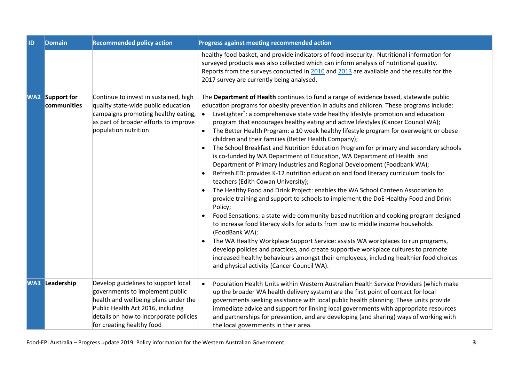| 1D | <b>Domain</b>                         | <b>Recommended policy action</b>                                                                                                                                                                                           | Progress against meeting recommended action                                                                                                                                                                                                                                                                                                                                                                                                                                                                                                                                                                                                                                                                                                                                                                                                                                                                                                                                                                                                                                                                                                                                                                                                                                                                                                                                                                                                                                                                                                                                                                                                                             |
|----|---------------------------------------|----------------------------------------------------------------------------------------------------------------------------------------------------------------------------------------------------------------------------|-------------------------------------------------------------------------------------------------------------------------------------------------------------------------------------------------------------------------------------------------------------------------------------------------------------------------------------------------------------------------------------------------------------------------------------------------------------------------------------------------------------------------------------------------------------------------------------------------------------------------------------------------------------------------------------------------------------------------------------------------------------------------------------------------------------------------------------------------------------------------------------------------------------------------------------------------------------------------------------------------------------------------------------------------------------------------------------------------------------------------------------------------------------------------------------------------------------------------------------------------------------------------------------------------------------------------------------------------------------------------------------------------------------------------------------------------------------------------------------------------------------------------------------------------------------------------------------------------------------------------------------------------------------------------|
|    |                                       |                                                                                                                                                                                                                            | healthy food basket, and provide indicators of food insecurity. Nutritional information for<br>surveyed products was also collected which can inform analysis of nutritional quality.<br>Reports from the surveys conducted in 2010 and 2013 are available and the results for the<br>2017 survey are currently being analysed.                                                                                                                                                                                                                                                                                                                                                                                                                                                                                                                                                                                                                                                                                                                                                                                                                                                                                                                                                                                                                                                                                                                                                                                                                                                                                                                                         |
|    | <b>WA2</b> Support for<br>communities | Continue to invest in sustained, high<br>quality state-wide public education<br>campaigns promoting healthy eating,<br>as part of broader efforts to improve<br>population nutrition                                       | The Department of Health continues to fund a range of evidence based, statewide public<br>education programs for obesity prevention in adults and children. These programs include:<br>LiveLighter <sup>*</sup> : a comprehensive state wide healthy lifestyle promotion and education<br>$\bullet$<br>program that encourages healthy eating and active lifestyles (Cancer Council WA);<br>The Better Health Program: a 10 week healthy lifestyle program for overweight or obese<br>$\bullet$<br>children and their families (Better Health Company);<br>The School Breakfast and Nutrition Education Program for primary and secondary schools<br>is co-funded by WA Department of Education, WA Department of Health and<br>Department of Primary Industries and Regional Development (Foodbank WA);<br>Refresh.ED: provides K-12 nutrition education and food literacy curriculum tools for<br>teachers (Edith Cowan University);<br>The Healthy Food and Drink Project: enables the WA School Canteen Association to<br>provide training and support to schools to implement the DoE Healthy Food and Drink<br>Policy;<br>Food Sensations: a state-wide community-based nutrition and cooking program designed<br>$\bullet$<br>to increase food literacy skills for adults from low to middle income households<br>(FoodBank WA);<br>The WA Healthy Workplace Support Service: assists WA workplaces to run programs,<br>$\bullet$<br>develop policies and practices, and create supportive workplace cultures to promote<br>increased healthy behaviours amongst their employees, including healthier food choices<br>and physical activity (Cancer Council WA). |
|    | <b>WA3</b> Leadership                 | Develop guidelines to support local<br>governments to implement public<br>health and wellbeing plans under the<br>Public Health Act 2016, including<br>details on how to incorporate policies<br>for creating healthy food | Population Health Units within Western Australian Health Service Providers (which make<br>$\bullet$<br>up the broader WA health delivery system) are the first point of contact for local<br>governments seeking assistance with local public health planning. These units provide<br>immediate advice and support for linking local governments with appropriate resources<br>and partnerships for prevention, and are developing (and sharing) ways of working with<br>the local governments in their area.                                                                                                                                                                                                                                                                                                                                                                                                                                                                                                                                                                                                                                                                                                                                                                                                                                                                                                                                                                                                                                                                                                                                                           |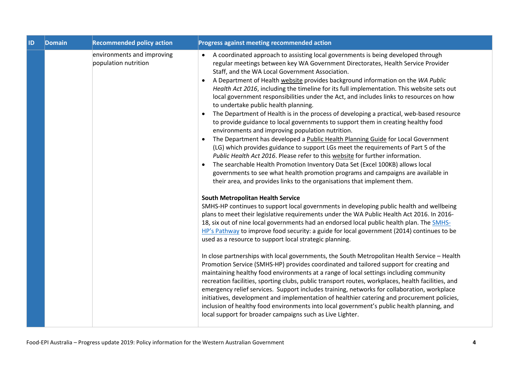| ID | <b>Domain</b> | <b>Recommended policy action</b>                   | Progress against meeting recommended action                                                                                                                                                                                                                                                                                                                                                                                                                                                                                                                                                                                                                                                                                                                                                                                                                                                                                                                                                                                                                                                                                                                                                                                                                                                               |
|----|---------------|----------------------------------------------------|-----------------------------------------------------------------------------------------------------------------------------------------------------------------------------------------------------------------------------------------------------------------------------------------------------------------------------------------------------------------------------------------------------------------------------------------------------------------------------------------------------------------------------------------------------------------------------------------------------------------------------------------------------------------------------------------------------------------------------------------------------------------------------------------------------------------------------------------------------------------------------------------------------------------------------------------------------------------------------------------------------------------------------------------------------------------------------------------------------------------------------------------------------------------------------------------------------------------------------------------------------------------------------------------------------------|
|    |               | environments and improving<br>population nutrition | A coordinated approach to assisting local governments is being developed through<br>regular meetings between key WA Government Directorates, Health Service Provider<br>Staff, and the WA Local Government Association.<br>A Department of Health website provides background information on the WA Public<br>Health Act 2016, including the timeline for its full implementation. This website sets out<br>local government responsibilities under the Act, and includes links to resources on how<br>to undertake public health planning.<br>The Department of Health is in the process of developing a practical, web-based resource<br>to provide guidance to local governments to support them in creating healthy food<br>environments and improving population nutrition.<br>The Department has developed a Public Health Planning Guide for Local Government<br>(LG) which provides guidance to support LGs meet the requirements of Part 5 of the<br>Public Health Act 2016. Please refer to this website for further information.<br>The searchable Health Promotion Inventory Data Set (Excel 100KB) allows local<br>$\bullet$<br>governments to see what health promotion programs and campaigns are available in<br>their area, and provides links to the organisations that implement them. |
|    |               |                                                    | <b>South Metropolitan Health Service</b><br>SMHS-HP continues to support local governments in developing public health and wellbeing<br>plans to meet their legislative requirements under the WA Public Health Act 2016. In 2016-<br>18, six out of nine local governments had an endorsed local public health plan. The SMHS-<br>HP's Pathway to improve food security: a guide for local government (2014) continues to be<br>used as a resource to support local strategic planning.<br>In close partnerships with local governments, the South Metropolitan Health Service - Health<br>Promotion Service (SMHS-HP) provides coordinated and tailored support for creating and<br>maintaining healthy food environments at a range of local settings including community<br>recreation facilities, sporting clubs, public transport routes, workplaces, health facilities, and                                                                                                                                                                                                                                                                                                                                                                                                                        |
|    |               |                                                    | emergency relief services. Support includes training, networks for collaboration, workplace<br>initiatives, development and implementation of healthier catering and procurement policies,<br>inclusion of healthy food environments into local government's public health planning, and<br>local support for broader campaigns such as Live Lighter.                                                                                                                                                                                                                                                                                                                                                                                                                                                                                                                                                                                                                                                                                                                                                                                                                                                                                                                                                     |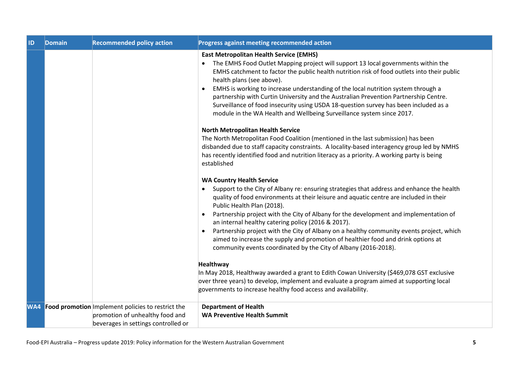| ID | Domain | <b>Recommended policy action</b>                                                                                                | Progress against meeting recommended action                                                                                                                                                                                                                                                                                                                                                                                                                                                                                                                                                                                |
|----|--------|---------------------------------------------------------------------------------------------------------------------------------|----------------------------------------------------------------------------------------------------------------------------------------------------------------------------------------------------------------------------------------------------------------------------------------------------------------------------------------------------------------------------------------------------------------------------------------------------------------------------------------------------------------------------------------------------------------------------------------------------------------------------|
|    |        |                                                                                                                                 | <b>East Metropolitan Health Service (EMHS)</b><br>The EMHS Food Outlet Mapping project will support 13 local governments within the<br>EMHS catchment to factor the public health nutrition risk of food outlets into their public<br>health plans (see above).<br>EMHS is working to increase understanding of the local nutrition system through a<br>$\bullet$<br>partnership with Curtin University and the Australian Prevention Partnership Centre.<br>Surveillance of food insecurity using USDA 18-question survey has been included as a<br>module in the WA Health and Wellbeing Surveillance system since 2017. |
|    |        |                                                                                                                                 | <b>North Metropolitan Health Service</b><br>The North Metropolitan Food Coalition (mentioned in the last submission) has been<br>disbanded due to staff capacity constraints. A locality-based interagency group led by NMHS<br>has recently identified food and nutrition literacy as a priority. A working party is being<br>established                                                                                                                                                                                                                                                                                 |
|    |        |                                                                                                                                 | <b>WA Country Health Service</b><br>Support to the City of Albany re: ensuring strategies that address and enhance the health<br>quality of food environments at their leisure and aquatic centre are included in their<br>Public Health Plan (2018).<br>Partnership project with the City of Albany for the development and implementation of<br>$\bullet$<br>an internal healthy catering policy (2016 & 2017).                                                                                                                                                                                                          |
|    |        |                                                                                                                                 | Partnership project with the City of Albany on a healthy community events project, which<br>aimed to increase the supply and promotion of healthier food and drink options at<br>community events coordinated by the City of Albany (2016-2018).                                                                                                                                                                                                                                                                                                                                                                           |
|    |        |                                                                                                                                 | <b>Healthway</b><br>In May 2018, Healthway awarded a grant to Edith Cowan University (\$469,078 GST exclusive<br>over three years) to develop, implement and evaluate a program aimed at supporting local<br>governments to increase healthy food access and availability.                                                                                                                                                                                                                                                                                                                                                 |
|    |        | WA4 Food promotion Implement policies to restrict the<br>promotion of unhealthy food and<br>beverages in settings controlled or | <b>Department of Health</b><br><b>WA Preventive Health Summit</b>                                                                                                                                                                                                                                                                                                                                                                                                                                                                                                                                                          |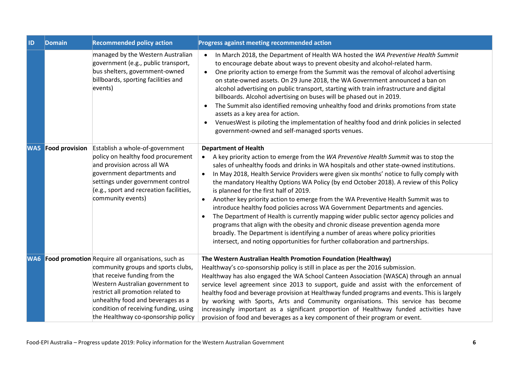| ID         | Domain                | <b>Recommended policy action</b>                                                                                                                                                                                                                                                                                                  | Progress against meeting recommended action                                                                                                                                                                                                                                                                                                                                                                                                                                                                                                                                                                                                                                                                                                                                                                                                                                                                                                                                                        |
|------------|-----------------------|-----------------------------------------------------------------------------------------------------------------------------------------------------------------------------------------------------------------------------------------------------------------------------------------------------------------------------------|----------------------------------------------------------------------------------------------------------------------------------------------------------------------------------------------------------------------------------------------------------------------------------------------------------------------------------------------------------------------------------------------------------------------------------------------------------------------------------------------------------------------------------------------------------------------------------------------------------------------------------------------------------------------------------------------------------------------------------------------------------------------------------------------------------------------------------------------------------------------------------------------------------------------------------------------------------------------------------------------------|
|            |                       | managed by the Western Australian<br>government (e.g., public transport,<br>bus shelters, government-owned<br>billboards, sporting facilities and<br>events)                                                                                                                                                                      | In March 2018, the Department of Health WA hosted the WA Preventive Health Summit<br>$\bullet$<br>to encourage debate about ways to prevent obesity and alcohol-related harm.<br>One priority action to emerge from the Summit was the removal of alcohol advertising<br>$\bullet$<br>on state-owned assets. On 29 June 2018, the WA Government announced a ban on<br>alcohol advertising on public transport, starting with train infrastructure and digital<br>billboards. Alcohol advertising on buses will be phased out in 2019.<br>The Summit also identified removing unhealthy food and drinks promotions from state<br>assets as a key area for action.<br>VenuesWest is piloting the implementation of healthy food and drink policies in selected<br>$\bullet$<br>government-owned and self-managed sports venues.                                                                                                                                                                      |
| <b>WA5</b> | <b>Food provision</b> | Establish a whole-of-government<br>policy on healthy food procurement<br>and provision across all WA<br>government departments and<br>settings under government control<br>(e.g., sport and recreation facilities,<br>community events)                                                                                           | <b>Department of Health</b><br>A key priority action to emerge from the WA Preventive Health Summit was to stop the<br>$\bullet$<br>sales of unhealthy foods and drinks in WA hospitals and other state-owned institutions.<br>In May 2018, Health Service Providers were given six months' notice to fully comply with<br>the mandatory Healthy Options WA Policy (by end October 2018). A review of this Policy<br>is planned for the first half of 2019.<br>Another key priority action to emerge from the WA Preventive Health Summit was to<br>$\bullet$<br>introduce healthy food policies across WA Government Departments and agencies.<br>The Department of Health is currently mapping wider public sector agency policies and<br>programs that align with the obesity and chronic disease prevention agenda more<br>broadly. The Department is identifying a number of areas where policy priorities<br>intersect, and noting opportunities for further collaboration and partnerships. |
|            |                       | <b>WA6</b> Food promotion Require all organisations, such as<br>community groups and sports clubs,<br>that receive funding from the<br>Western Australian government to<br>restrict all promotion related to<br>unhealthy food and beverages as a<br>condition of receiving funding, using<br>the Healthway co-sponsorship policy | The Western Australian Health Promotion Foundation (Healthway)<br>Healthway's co-sponsorship policy is still in place as per the 2016 submission.<br>Healthway has also engaged the WA School Canteen Association (WASCA) through an annual<br>service level agreement since 2013 to support, guide and assist with the enforcement of<br>healthy food and beverage provision at Healthway funded programs and events. This is largely<br>by working with Sports, Arts and Community organisations. This service has become<br>increasingly important as a significant proportion of Healthway funded activities have<br>provision of food and beverages as a key component of their program or event.                                                                                                                                                                                                                                                                                             |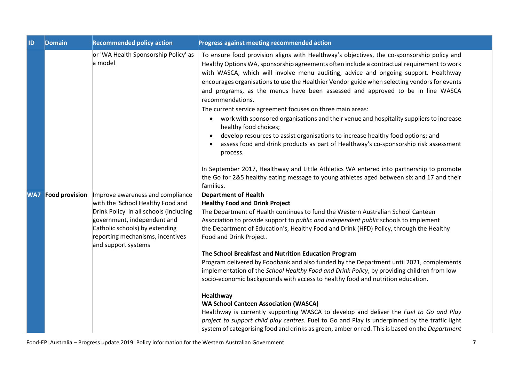| ID | <b>Domain</b>             | <b>Recommended policy action</b>                                                                                                                                                                                                             | Progress against meeting recommended action                                                                                                                                                                                                                                                                                                                                                                                                                                                                                                                                                                                                                                                                                                                                                                                                                                                                                                                                                                                                                                       |
|----|---------------------------|----------------------------------------------------------------------------------------------------------------------------------------------------------------------------------------------------------------------------------------------|-----------------------------------------------------------------------------------------------------------------------------------------------------------------------------------------------------------------------------------------------------------------------------------------------------------------------------------------------------------------------------------------------------------------------------------------------------------------------------------------------------------------------------------------------------------------------------------------------------------------------------------------------------------------------------------------------------------------------------------------------------------------------------------------------------------------------------------------------------------------------------------------------------------------------------------------------------------------------------------------------------------------------------------------------------------------------------------|
|    |                           | or 'WA Health Sponsorship Policy' as<br>a model                                                                                                                                                                                              | To ensure food provision aligns with Healthway's objectives, the co-sponsorship policy and<br>Healthy Options WA, sponsorship agreements often include a contractual requirement to work<br>with WASCA, which will involve menu auditing, advice and ongoing support. Healthway<br>encourages organisations to use the Healthier Vendor guide when selecting vendors for events<br>and programs, as the menus have been assessed and approved to be in line WASCA<br>recommendations.<br>The current service agreement focuses on three main areas:<br>work with sponsored organisations and their venue and hospitality suppliers to increase<br>$\bullet$<br>healthy food choices;<br>develop resources to assist organisations to increase healthy food options; and<br>assess food and drink products as part of Healthway's co-sponsorship risk assessment<br>process.<br>In September 2017, Healthway and Little Athletics WA entered into partnership to promote<br>the Go for 2&5 healthy eating message to young athletes aged between six and 17 and their<br>families. |
|    | <b>WA7</b> Food provision | Improve awareness and compliance<br>with the 'School Healthy Food and<br>Drink Policy' in all schools (including<br>government, independent and<br>Catholic schools) by extending<br>reporting mechanisms, incentives<br>and support systems | <b>Department of Health</b><br><b>Healthy Food and Drink Project</b><br>The Department of Health continues to fund the Western Australian School Canteen<br>Association to provide support to public and independent public schools to implement<br>the Department of Education's, Healthy Food and Drink (HFD) Policy, through the Healthy<br>Food and Drink Project.<br>The School Breakfast and Nutrition Education Program<br>Program delivered by Foodbank and also funded by the Department until 2021, complements<br>implementation of the School Healthy Food and Drink Policy, by providing children from low<br>socio-economic backgrounds with access to healthy food and nutrition education.<br>Healthway<br><b>WA School Canteen Association (WASCA)</b><br>Healthway is currently supporting WASCA to develop and deliver the Fuel to Go and Play<br>project to support child play centres. Fuel to Go and Play is underpinned by the traffic light<br>system of categorising food and drinks as green, amber or red. This is based on the Department             |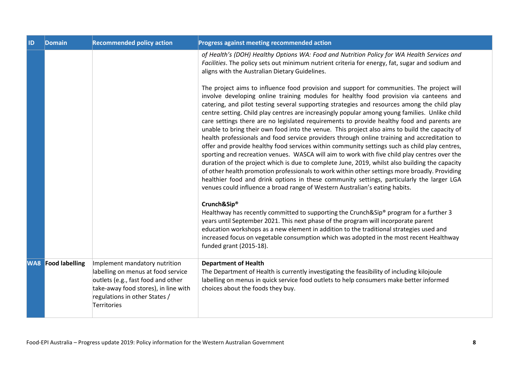| <b>ID</b> | <b>Domain</b>             | <b>Recommended policy action</b>                                                                                                                                                                  | Progress against meeting recommended action                                                                                                                                                                                                                                                                                                                                                                                                                                                                                                                                                                                                                                                                                                                                                                                                                                                                                                                                    |
|-----------|---------------------------|---------------------------------------------------------------------------------------------------------------------------------------------------------------------------------------------------|--------------------------------------------------------------------------------------------------------------------------------------------------------------------------------------------------------------------------------------------------------------------------------------------------------------------------------------------------------------------------------------------------------------------------------------------------------------------------------------------------------------------------------------------------------------------------------------------------------------------------------------------------------------------------------------------------------------------------------------------------------------------------------------------------------------------------------------------------------------------------------------------------------------------------------------------------------------------------------|
|           |                           |                                                                                                                                                                                                   | of Health's (DOH) Healthy Options WA: Food and Nutrition Policy for WA Health Services and<br>Facilities. The policy sets out minimum nutrient criteria for energy, fat, sugar and sodium and<br>aligns with the Australian Dietary Guidelines.<br>The project aims to influence food provision and support for communities. The project will<br>involve developing online training modules for healthy food provision via canteens and<br>catering, and pilot testing several supporting strategies and resources among the child play                                                                                                                                                                                                                                                                                                                                                                                                                                        |
|           |                           |                                                                                                                                                                                                   | centre setting. Child play centres are increasingly popular among young families. Unlike child<br>care settings there are no legislated requirements to provide healthy food and parents are<br>unable to bring their own food into the venue. This project also aims to build the capacity of<br>health professionals and food service providers through online training and accreditation to<br>offer and provide healthy food services within community settings such as child play centres,<br>sporting and recreation venues. WASCA will aim to work with five child play centres over the<br>duration of the project which is due to complete June, 2019, whilst also building the capacity<br>of other health promotion professionals to work within other settings more broadly. Providing<br>healthier food and drink options in these community settings, particularly the larger LGA<br>venues could influence a broad range of Western Australian's eating habits. |
|           |                           |                                                                                                                                                                                                   | Crunch&Sip®<br>Healthway has recently committed to supporting the Crunch&Sip® program for a further 3<br>years until September 2021. This next phase of the program will incorporate parent<br>education workshops as a new element in addition to the traditional strategies used and<br>increased focus on vegetable consumption which was adopted in the most recent Healthway<br>funded grant (2015-18).                                                                                                                                                                                                                                                                                                                                                                                                                                                                                                                                                                   |
|           | <b>WA8</b> Food labelling | Implement mandatory nutrition<br>labelling on menus at food service<br>outlets (e.g., fast food and other<br>take-away food stores), in line with<br>regulations in other States /<br>Territories | <b>Department of Health</b><br>The Department of Health is currently investigating the feasibility of including kilojoule<br>labelling on menus in quick service food outlets to help consumers make better informed<br>choices about the foods they buy.                                                                                                                                                                                                                                                                                                                                                                                                                                                                                                                                                                                                                                                                                                                      |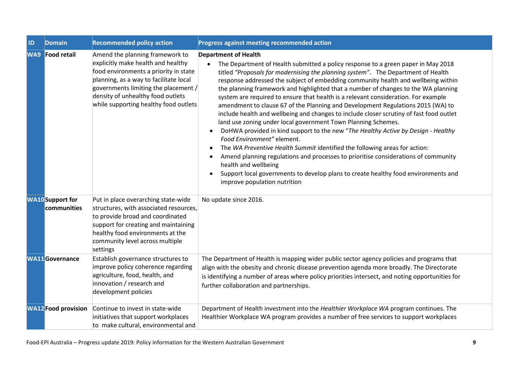| ID | <b>Domain</b>                          | <b>Recommended policy action</b>                                                                                                                                                                                                                                               | Progress against meeting recommended action                                                                                                                                                                                                                                                                                                                                                                                                                                                                                                                                                                                                                                                                                                                                                                                                                                                                                                                                                                                                                                                                                                               |
|----|----------------------------------------|--------------------------------------------------------------------------------------------------------------------------------------------------------------------------------------------------------------------------------------------------------------------------------|-----------------------------------------------------------------------------------------------------------------------------------------------------------------------------------------------------------------------------------------------------------------------------------------------------------------------------------------------------------------------------------------------------------------------------------------------------------------------------------------------------------------------------------------------------------------------------------------------------------------------------------------------------------------------------------------------------------------------------------------------------------------------------------------------------------------------------------------------------------------------------------------------------------------------------------------------------------------------------------------------------------------------------------------------------------------------------------------------------------------------------------------------------------|
|    | <b>WA9</b> Food retail                 | Amend the planning framework to<br>explicitly make health and healthy<br>food environments a priority in state<br>planning, as a way to facilitate local<br>governments limiting the placement /<br>density of unhealthy food outlets<br>while supporting healthy food outlets | <b>Department of Health</b><br>The Department of Health submitted a policy response to a green paper in May 2018<br>titled "Proposals for modernising the planning system". The Department of Health<br>response addressed the subject of embedding community health and wellbeing within<br>the planning framework and highlighted that a number of changes to the WA planning<br>system are required to ensure that health is a relevant consideration. For example<br>amendment to clause 67 of the Planning and Development Regulations 2015 (WA) to<br>include health and wellbeing and changes to include closer scrutiny of fast food outlet<br>land use zoning under local government Town Planning Schemes.<br>DoHWA provided in kind support to the new "The Healthy Active by Design - Healthy<br>Food Environment" element.<br>The WA Preventive Health Summit identified the following areas for action:<br>Amend planning regulations and processes to prioritise considerations of community<br>health and wellbeing<br>Support local governments to develop plans to create healthy food environments and<br>improve population nutrition |
|    | <b>WA10</b> Support for<br>communities | Put in place overarching state-wide<br>structures, with associated resources,<br>to provide broad and coordinated<br>support for creating and maintaining<br>healthy food environments at the<br>community level across multiple<br>settings                                   | No update since 2016.                                                                                                                                                                                                                                                                                                                                                                                                                                                                                                                                                                                                                                                                                                                                                                                                                                                                                                                                                                                                                                                                                                                                     |
|    | <b>WA11</b> Governance                 | Establish governance structures to<br>improve policy coherence regarding<br>agriculture, food, health, and<br>innovation / research and<br>development policies                                                                                                                | The Department of Health is mapping wider public sector agency policies and programs that<br>align with the obesity and chronic disease prevention agenda more broadly. The Directorate<br>is identifying a number of areas where policy priorities intersect, and noting opportunities for<br>further collaboration and partnerships.                                                                                                                                                                                                                                                                                                                                                                                                                                                                                                                                                                                                                                                                                                                                                                                                                    |
|    | <b>WA12</b> Food provision             | Continue to invest in state-wide<br>initiatives that support workplaces<br>to make cultural, environmental and                                                                                                                                                                 | Department of Health investment into the Healthier Workplace WA program continues. The<br>Healthier Workplace WA program provides a number of free services to support workplaces                                                                                                                                                                                                                                                                                                                                                                                                                                                                                                                                                                                                                                                                                                                                                                                                                                                                                                                                                                         |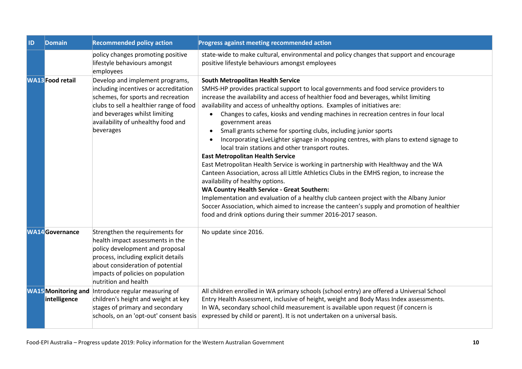| <b>ID</b> | Domain                                     | <b>Recommended policy action</b>                                                                                                                                                                                                               | <b>Progress against meeting recommended action</b>                                                                                                                                                                                                                                                                                                                                                                                                                                                                                                                                                                                                                                                                                                                                                                                                                                                                                                                                                                                                                                                                                                                                                                                               |
|-----------|--------------------------------------------|------------------------------------------------------------------------------------------------------------------------------------------------------------------------------------------------------------------------------------------------|--------------------------------------------------------------------------------------------------------------------------------------------------------------------------------------------------------------------------------------------------------------------------------------------------------------------------------------------------------------------------------------------------------------------------------------------------------------------------------------------------------------------------------------------------------------------------------------------------------------------------------------------------------------------------------------------------------------------------------------------------------------------------------------------------------------------------------------------------------------------------------------------------------------------------------------------------------------------------------------------------------------------------------------------------------------------------------------------------------------------------------------------------------------------------------------------------------------------------------------------------|
|           |                                            | policy changes promoting positive<br>lifestyle behaviours amongst<br>employees                                                                                                                                                                 | state-wide to make cultural, environmental and policy changes that support and encourage<br>positive lifestyle behaviours amongst employees                                                                                                                                                                                                                                                                                                                                                                                                                                                                                                                                                                                                                                                                                                                                                                                                                                                                                                                                                                                                                                                                                                      |
|           | <b>WA13</b> Food retail                    | Develop and implement programs,<br>including incentives or accreditation<br>schemes, for sports and recreation<br>clubs to sell a healthier range of food<br>and beverages whilst limiting<br>availability of unhealthy food and<br>beverages  | <b>South Metropolitan Health Service</b><br>SMHS-HP provides practical support to local governments and food service providers to<br>increase the availability and access of healthier food and beverages, whilst limiting<br>availability and access of unhealthy options. Examples of initiatives are:<br>Changes to cafes, kiosks and vending machines in recreation centres in four local<br>government areas<br>Small grants scheme for sporting clubs, including junior sports<br>$\bullet$<br>Incorporating LiveLighter signage in shopping centres, with plans to extend signage to<br>$\bullet$<br>local train stations and other transport routes.<br><b>East Metropolitan Health Service</b><br>East Metropolitan Health Service is working in partnership with Healthway and the WA<br>Canteen Association, across all Little Athletics Clubs in the EMHS region, to increase the<br>availability of healthy options.<br><b>WA Country Health Service - Great Southern:</b><br>Implementation and evaluation of a healthy club canteen project with the Albany Junior<br>Soccer Association, which aimed to increase the canteen's supply and promotion of healthier<br>food and drink options during their summer 2016-2017 season. |
|           | <b>WA14</b> Governance                     | Strengthen the requirements for<br>health impact assessments in the<br>policy development and proposal<br>process, including explicit details<br>about consideration of potential<br>impacts of policies on population<br>nutrition and health | No update since 2016.                                                                                                                                                                                                                                                                                                                                                                                                                                                                                                                                                                                                                                                                                                                                                                                                                                                                                                                                                                                                                                                                                                                                                                                                                            |
|           | <b>WA15</b> Monitoring and<br>intelligence | Introduce regular measuring of<br>children's height and weight at key<br>stages of primary and secondary<br>schools, on an 'opt-out' consent basis                                                                                             | All children enrolled in WA primary schools (school entry) are offered a Universal School<br>Entry Health Assessment, inclusive of height, weight and Body Mass Index assessments.<br>In WA, secondary school child measurement is available upon request (if concern is<br>expressed by child or parent). It is not undertaken on a universal basis.                                                                                                                                                                                                                                                                                                                                                                                                                                                                                                                                                                                                                                                                                                                                                                                                                                                                                            |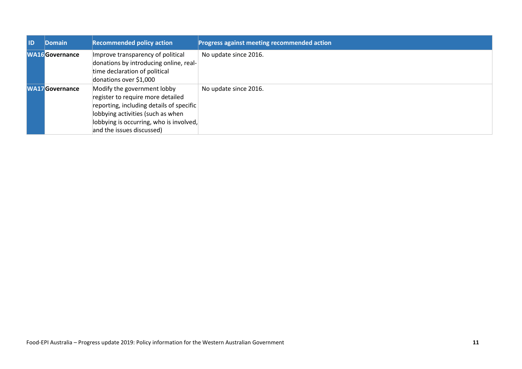| l ID | <b>Domain</b>          | <b>Recommended policy action</b>                                                                                                                                                                                          | Progress against meeting recommended action |
|------|------------------------|---------------------------------------------------------------------------------------------------------------------------------------------------------------------------------------------------------------------------|---------------------------------------------|
|      | <b>WA16Governance</b>  | Improve transparency of political<br>donations by introducing online, real-<br>time declaration of political<br>donations over \$1,000                                                                                    | No update since 2016.                       |
|      | <b>WA17</b> Governance | Modify the government lobby<br>register to require more detailed<br>reporting, including details of specific<br>lobbying activities (such as when<br>lobbying is occurring, who is involved,<br>and the issues discussed) | No update since 2016.                       |